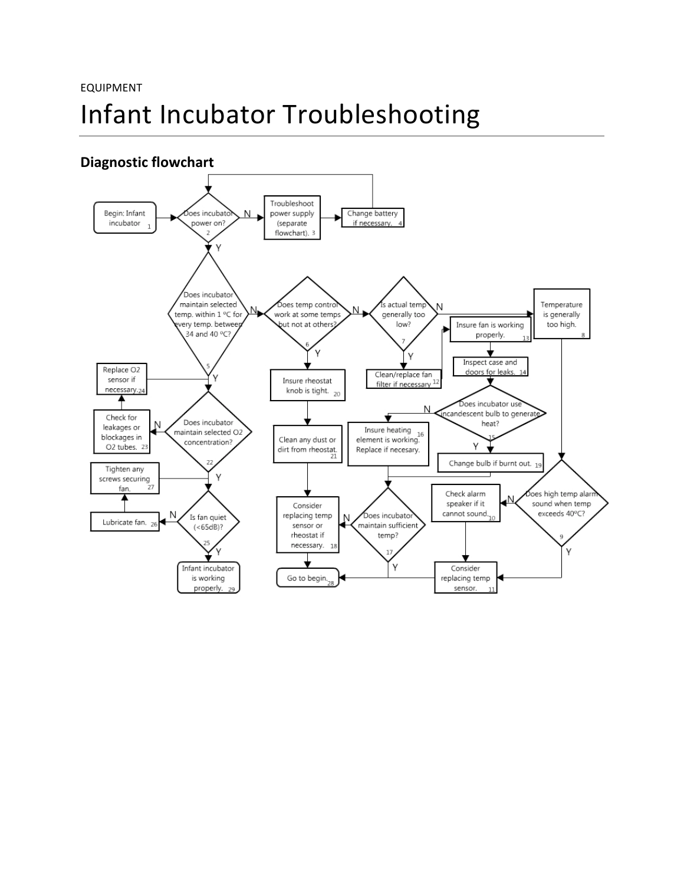## EQUIPMENT Infant Incubator Troubleshooting

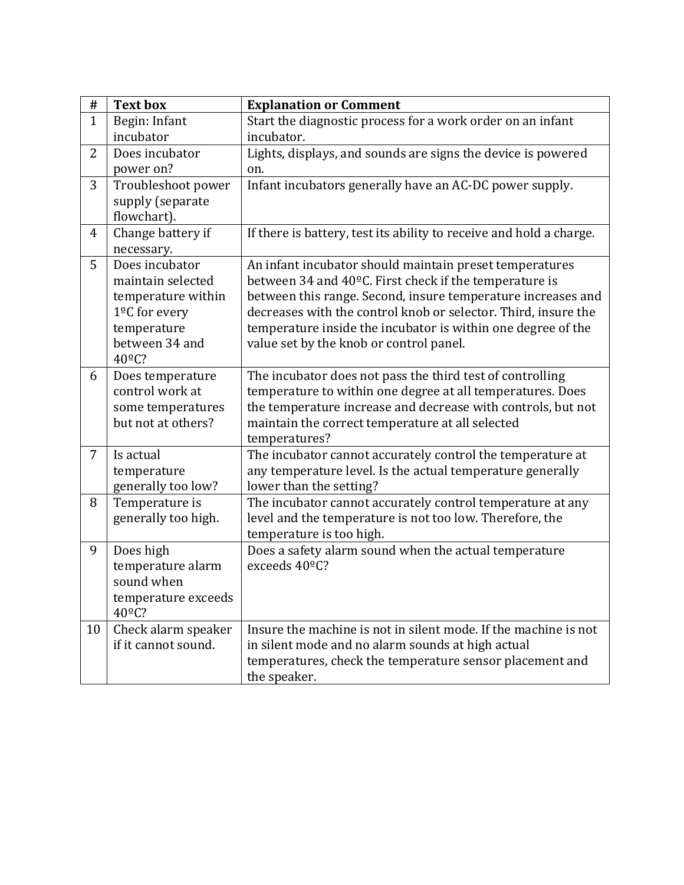| #              | <b>Text box</b>                                                                                                                                | <b>Explanation or Comment</b>                                                                                                                                                                                                                                                                                                                                  |
|----------------|------------------------------------------------------------------------------------------------------------------------------------------------|----------------------------------------------------------------------------------------------------------------------------------------------------------------------------------------------------------------------------------------------------------------------------------------------------------------------------------------------------------------|
| $\mathbf{1}$   | Begin: Infant<br>incubator                                                                                                                     | Start the diagnostic process for a work order on an infant<br>incubator.                                                                                                                                                                                                                                                                                       |
| $\overline{2}$ | Does incubator<br>power on?                                                                                                                    | Lights, displays, and sounds are signs the device is powered<br>on.                                                                                                                                                                                                                                                                                            |
| 3              | Troubleshoot power<br>supply (separate<br>flowchart).                                                                                          | Infant incubators generally have an AC-DC power supply.                                                                                                                                                                                                                                                                                                        |
| $\overline{4}$ | Change battery if<br>necessary.                                                                                                                | If there is battery, test its ability to receive and hold a charge.                                                                                                                                                                                                                                                                                            |
| 5              | Does incubator<br>maintain selected<br>temperature within<br>1 <sup>o</sup> C for every<br>temperature<br>between 34 and<br>40 <sup>o</sup> C? | An infant incubator should maintain preset temperatures<br>between 34 and 40°C. First check if the temperature is<br>between this range. Second, insure temperature increases and<br>decreases with the control knob or selector. Third, insure the<br>temperature inside the incubator is within one degree of the<br>value set by the knob or control panel. |
| 6              | Does temperature<br>control work at<br>some temperatures<br>but not at others?                                                                 | The incubator does not pass the third test of controlling<br>temperature to within one degree at all temperatures. Does<br>the temperature increase and decrease with controls, but not<br>maintain the correct temperature at all selected<br>temperatures?                                                                                                   |
| 7              | Is actual<br>temperature<br>generally too low?                                                                                                 | The incubator cannot accurately control the temperature at<br>any temperature level. Is the actual temperature generally<br>lower than the setting?                                                                                                                                                                                                            |
| 8              | Temperature is<br>generally too high.                                                                                                          | The incubator cannot accurately control temperature at any<br>level and the temperature is not too low. Therefore, the<br>temperature is too high.                                                                                                                                                                                                             |
| 9              | Does high<br>temperature alarm<br>sound when<br>temperature exceeds<br>$40^{\circ}$ C?                                                         | Does a safety alarm sound when the actual temperature<br>exceeds 40°C?                                                                                                                                                                                                                                                                                         |
| 10             | Check alarm speaker<br>if it cannot sound.                                                                                                     | Insure the machine is not in silent mode. If the machine is not<br>in silent mode and no alarm sounds at high actual<br>temperatures, check the temperature sensor placement and<br>the speaker.                                                                                                                                                               |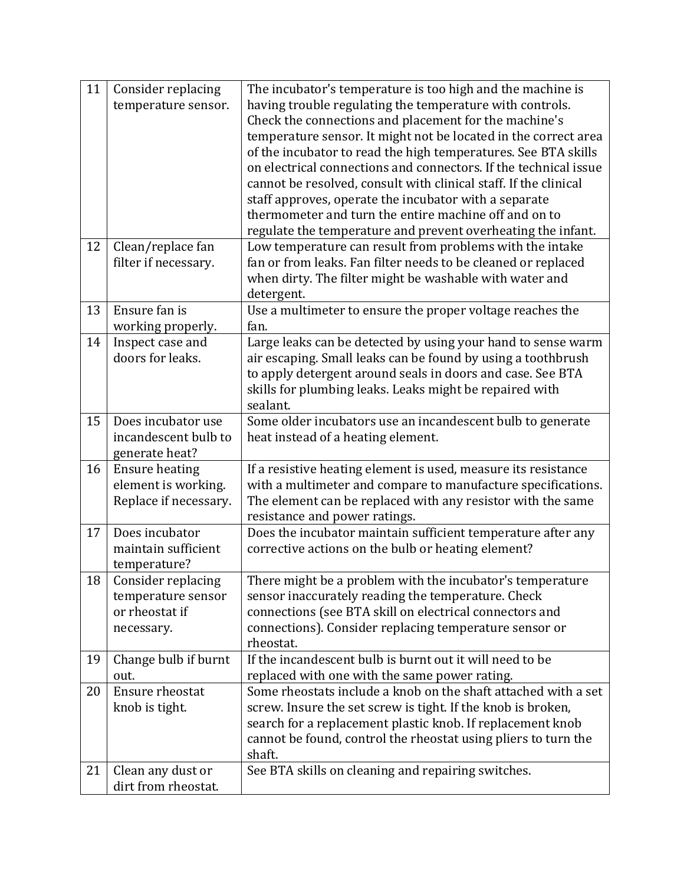| 11 | Consider replacing                   | The incubator's temperature is too high and the machine is                                                      |
|----|--------------------------------------|-----------------------------------------------------------------------------------------------------------------|
|    | temperature sensor.                  | having trouble regulating the temperature with controls.                                                        |
|    |                                      | Check the connections and placement for the machine's                                                           |
|    |                                      | temperature sensor. It might not be located in the correct area                                                 |
|    |                                      | of the incubator to read the high temperatures. See BTA skills                                                  |
|    |                                      | on electrical connections and connectors. If the technical issue                                                |
|    |                                      | cannot be resolved, consult with clinical staff. If the clinical                                                |
|    |                                      | staff approves, operate the incubator with a separate                                                           |
|    |                                      | thermometer and turn the entire machine off and on to                                                           |
|    |                                      | regulate the temperature and prevent overheating the infant.                                                    |
| 12 | Clean/replace fan                    | Low temperature can result from problems with the intake                                                        |
|    | filter if necessary.                 | fan or from leaks. Fan filter needs to be cleaned or replaced                                                   |
|    |                                      | when dirty. The filter might be washable with water and                                                         |
| 13 | Ensure fan is                        | detergent.<br>Use a multimeter to ensure the proper voltage reaches the                                         |
|    | working properly.                    | fan.                                                                                                            |
| 14 | Inspect case and                     | Large leaks can be detected by using your hand to sense warm                                                    |
|    | doors for leaks.                     | air escaping. Small leaks can be found by using a toothbrush                                                    |
|    |                                      | to apply detergent around seals in doors and case. See BTA                                                      |
|    |                                      | skills for plumbing leaks. Leaks might be repaired with                                                         |
|    |                                      | sealant.                                                                                                        |
| 15 | Does incubator use                   | Some older incubators use an incandescent bulb to generate                                                      |
|    | incandescent bulb to                 | heat instead of a heating element.                                                                              |
|    | generate heat?                       |                                                                                                                 |
| 16 | <b>Ensure heating</b>                | If a resistive heating element is used, measure its resistance                                                  |
|    | element is working.                  | with a multimeter and compare to manufacture specifications.                                                    |
|    | Replace if necessary.                | The element can be replaced with any resistor with the same                                                     |
|    |                                      | resistance and power ratings.                                                                                   |
| 17 | Does incubator                       | Does the incubator maintain sufficient temperature after any                                                    |
|    | maintain sufficient                  | corrective actions on the bulb or heating element?                                                              |
|    | temperature?                         |                                                                                                                 |
| 18 | Consider replacing                   | There might be a problem with the incubator's temperature<br>sensor inaccurately reading the temperature. Check |
|    | temperature sensor<br>or rheostat if | connections (see BTA skill on electrical connectors and                                                         |
|    | necessary.                           | connections). Consider replacing temperature sensor or                                                          |
|    |                                      | rheostat.                                                                                                       |
| 19 | Change bulb if burnt                 | If the incandescent bulb is burnt out it will need to be                                                        |
|    | out.                                 | replaced with one with the same power rating.                                                                   |
| 20 | Ensure rheostat                      | Some rheostats include a knob on the shaft attached with a set                                                  |
|    | knob is tight.                       | screw. Insure the set screw is tight. If the knob is broken,                                                    |
|    |                                      | search for a replacement plastic knob. If replacement knob                                                      |
|    |                                      | cannot be found, control the rheostat using pliers to turn the                                                  |
|    |                                      | shaft.                                                                                                          |
| 21 | Clean any dust or                    | See BTA skills on cleaning and repairing switches.                                                              |
|    | dirt from rheostat.                  |                                                                                                                 |